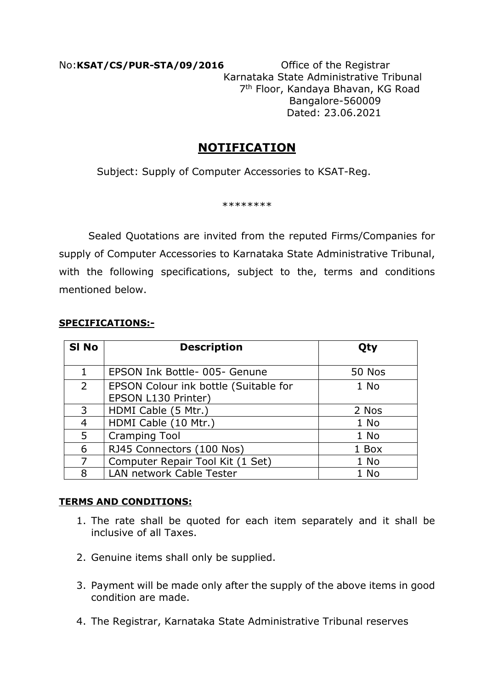No:**KSAT/CS/PUR-STA/09/2016** Office of the Registrar Karnataka State Administrative Tribunal 7 th Floor, Kandaya Bhavan, KG Road Bangalore-560009 Dated: 23.06.2021

# **NOTIFICATION**

Subject: Supply of Computer Accessories to KSAT-Reg.

\*\*\*\*\*\*\*\*

 Sealed Quotations are invited from the reputed Firms/Companies for supply of Computer Accessories to Karnataka State Administrative Tribunal, with the following specifications, subject to the, terms and conditions mentioned below.

#### **SPECIFICATIONS:-**

| SI No          | <b>Description</b>                    | <b>Oty</b>    |
|----------------|---------------------------------------|---------------|
| 1              | EPSON Ink Bottle- 005- Genune         | <b>50 Nos</b> |
| $\overline{2}$ | EPSON Colour ink bottle (Suitable for | 1 No          |
|                | EPSON L130 Printer)                   |               |
| 3              | HDMI Cable (5 Mtr.)                   | 2 Nos         |
| 4              | HDMI Cable (10 Mtr.)                  | 1 No          |
| 5              | <b>Cramping Tool</b>                  | 1 No          |
| 6              | RJ45 Connectors (100 Nos)             | 1 Box         |
| 7              | Computer Repair Tool Kit (1 Set)      | 1 No          |
| 8              | LAN network Cable Tester              | 1 No          |

### **TERMS AND CONDITIONS:**

- 1. The rate shall be quoted for each item separately and it shall be inclusive of all Taxes.
- 2. Genuine items shall only be supplied.
- 3. Payment will be made only after the supply of the above items in good condition are made.
- 4. The Registrar, Karnataka State Administrative Tribunal reserves